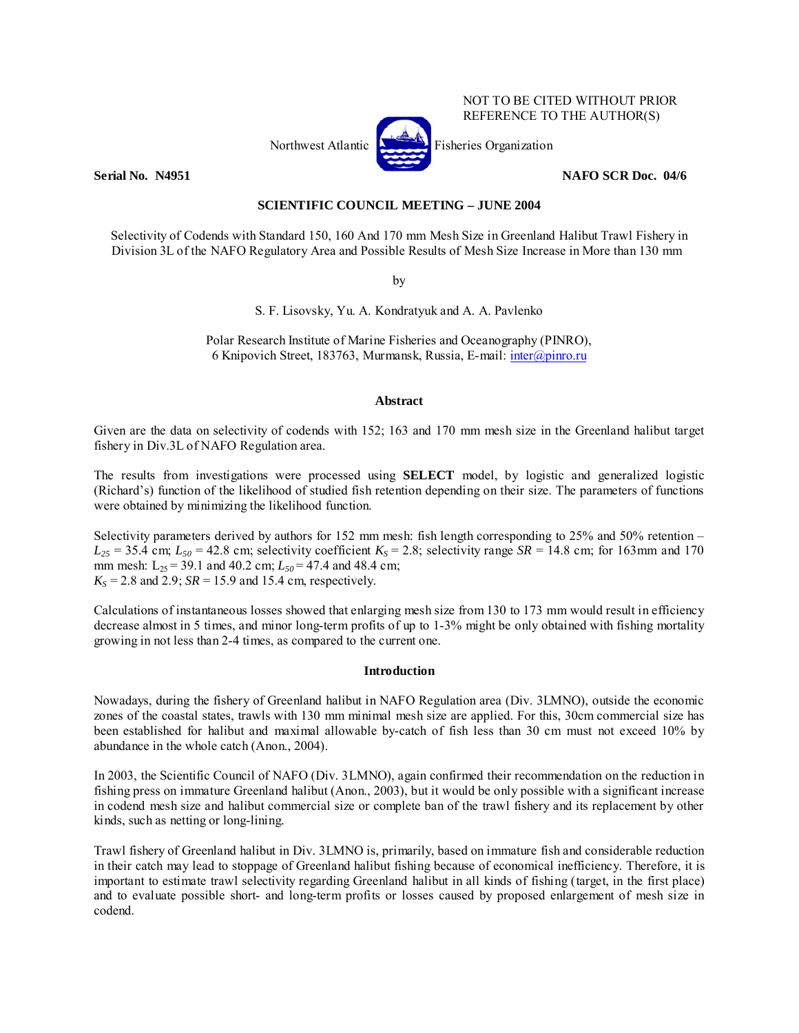

NOT TO BE CITED WITHOUT PRIOR REFERENCE TO THE AUTHOR(S)

**Serial No. N4951 NAFO SCR Doc. 04/6**

# **SCIENTIFIC COUNCIL MEETING – JUNE 2004**

Selectivity of Codends with Standard 150, 160 And 170 mm Mesh Size in Greenland Halibut Trawl Fishery in Division 3L of the NAFO Regulatory Area and Possible Results of Mesh Size Increase in More than 130 mm

by

S. F. Lisovsky, Yu. A. Kondratyuk and A. A. Pavlenko

Polar Research Institute of Marine Fisheries and Oceanography (PINRO), 6 Knipovich Street, 183763, Murmansk, Russia, E-mail: inter@pinro.ru

## **Abstract**

Given are the data on selectivity of codends with 152; 163 and 170 mm mesh size in the Greenland halibut target fishery in Div.3L of NAFO Regulation area.

The results from investigations were processed using **SELECT** model, by logistic and generalized logistic (Richard's) function of the likelihood of studied fish retention depending on their size. The parameters of functions were obtained by minimizing the likelihood function.

Selectivity parameters derived by authors for 152 mm mesh: fish length corresponding to 25% and 50% retention –  $L_{25}$  = 35.4 cm;  $L_{50}$  = 42.8 cm; selectivity coefficient  $K_s$  = 2.8; selectivity range  $SR = 14.8$  cm; for 163mm and 170 mm mesh:  $L_{25} = 39.1$  and  $40.2$  cm;  $L_{50} = 47.4$  and  $48.4$  cm;  $K_S = 2.8$  and 2.9; *SR* = 15.9 and 15.4 cm, respectively.

Calculations of instantaneous losses showed that enlarging mesh size from 130 to 173 mm would result in efficiency decrease almost in 5 times, and minor long-term profits of up to 1-3% might be only obtained with fishing mortality growing in not less than 2-4 times, as compared to the current one.

# **Introduction**

Nowadays, during the fishery of Greenland halibut in NAFO Regulation area (Div. 3LMNO), outside the economic zones of the coastal states, trawls with 130 mm minimal mesh size are applied. For this, 30cm commercial size has been established for halibut and maximal allowable by-catch of fish less than 30 cm must not exceed 10% by abundance in the whole catch (Anon., 2004).

In 2003, the Scientific Council of NAFO (Div. 3LMNO), again confirmed their recommendation on the reduction in fishing press on immature Greenland halibut (Anon., 2003), but it would be only possible with a significant increase in codend mesh size and halibut commercial size or complete ban of the trawl fishery and its replacement by other kinds, such as netting or long-lining.

Trawl fishery of Greenland halibut in Div. 3LMNO is, primarily, based on immature fish and considerable reduction in their catch may lead to stoppage of Greenland halibut fishing because of economical inefficiency. Therefore, it is important to estimate trawl selectivity regarding Greenland halibut in all kinds of fishing (target, in the first place) and to evaluate possible short- and long-term profits or losses caused by proposed enlargement of mesh size in codend.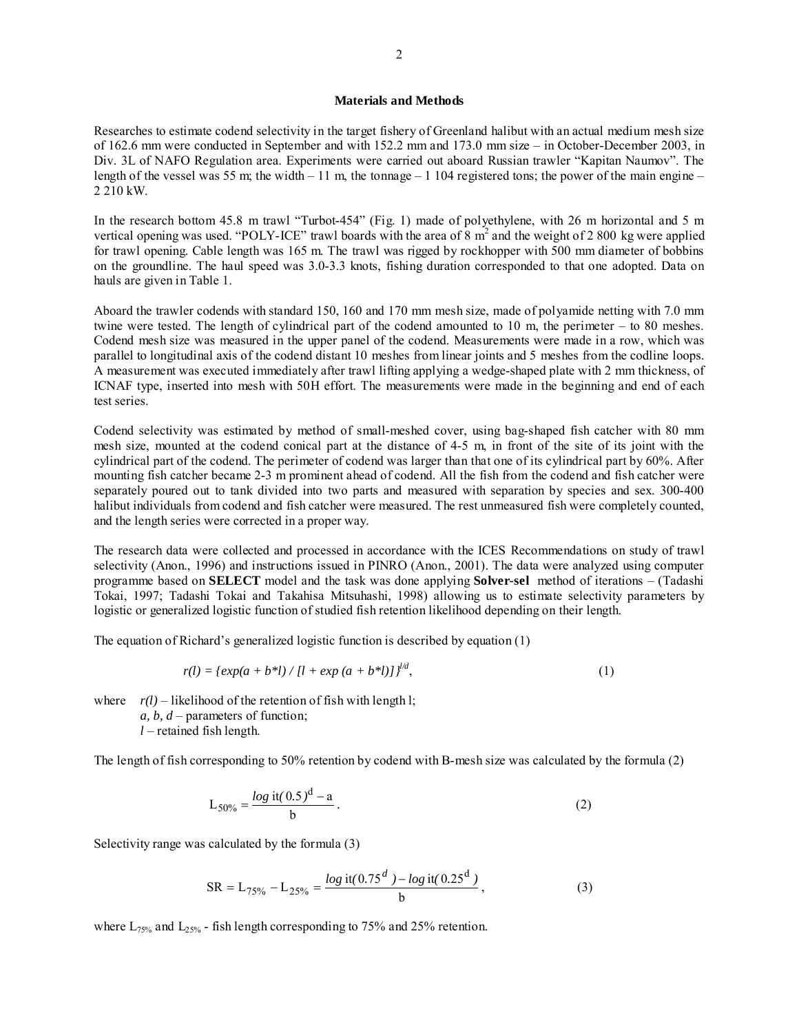### **Materials and Methods**

Researches to estimate codend selectivity in the target fishery of Greenland halibut with an actual medium mesh size of 162.6 mm were conducted in September and with 152.2 mm and 173.0 mm size – in October-December 2003, in Div. 3L of NAFO Regulation area. Experiments were carried out aboard Russian trawler "Kapitan Naumov". The length of the vessel was 55 m; the width  $-11$  m, the tonnage  $-1104$  registered tons; the power of the main engine – 2 210 kW.

In the research bottom 45.8 m trawl "Turbot-454" (Fig. 1) made of polyethylene, with 26 m horizontal and 5 m vertical opening was used. "POLY-ICE" trawl boards with the area of  $8 \text{ m}^2$  and the weight of 2 800 kg were applied for trawl opening. Cable length was 165 m. The trawl was rigged by rockhopper with 500 mm diameter of bobbins on the groundline. The haul speed was 3.0-3.3 knots, fishing duration corresponded to that one adopted. Data on hauls are given in Table 1.

Aboard the trawler codends with standard 150, 160 and 170 mm mesh size, made of polyamide netting with 7.0 mm twine were tested. The length of cylindrical part of the codend amounted to 10 m, the perimeter – to 80 meshes. Codend mesh size was measured in the upper panel of the codend. Measurements were made in a row, which was parallel to longitudinal axis of the codend distant 10 meshes from linear joints and 5 meshes from the codline loops. A measurement was executed immediately after trawl lifting applying a wedge-shaped plate with 2 mm thickness, of ICNAF type, inserted into mesh with 50H effort. The measurements were made in the beginning and end of each test series.

Codend selectivity was estimated by method of small-meshed cover, using bag-shaped fish catcher with 80 mm mesh size, mounted at the codend conical part at the distance of 4-5 m, in front of the site of its joint with the cylindrical part of the codend. The perimeter of codend was larger than that one of its cylindrical part by 60%. After mounting fish catcher became 2-3 m prominent ahead of codend. All the fish from the codend and fish catcher were separately poured out to tank divided into two parts and measured with separation by species and sex. 300-400 halibut individuals from codend and fish catcher were measured. The rest unmeasured fish were completely counted, and the length series were corrected in a proper way.

The research data were collected and processed in accordance with the ICES Recommendations on study of trawl selectivity (Anon., 1996) and instructions issued in PINRO (Anon., 2001). The data were analyzed using computer programme based on **SELECT** model and the task was done applying **Solver-sel** method of iterations – (Tadashi Tokai, 1997; Tadashi Tokai and Takahisa Mitsuhashi, 1998) allowing us to estimate selectivity parameters by logistic or generalized logistic function of studied fish retention likelihood depending on their length.

The equation of Richard's generalized logistic function is described by equation (1)

$$
r(l) = \{ \exp(a + b^*l) / [l + \exp(a + b^*l)] \}^{l/d}, \tag{1}
$$

where  $r(l)$  – likelihood of the retention of fish with length l; *a, b, d* – parameters of function;

*l* – retained fish length.

The length of fish corresponding to 50% retention by codend with B-mesh size was calculated by the formula (2)

$$
L_{50\%} = \frac{\log \text{ it} (0.5)^{\text{d}} - a}{b} \,. \tag{2}
$$

Selectivity range was calculated by the formula (3)

$$
SR = L_{75\%} - L_{25\%} = \frac{\log \text{it}(0.75^d) - \log \text{it}(0.25^d)}{b},\tag{3}
$$

where  $L_{75\%}$  and  $L_{25\%}$  - fish length corresponding to 75% and 25% retention.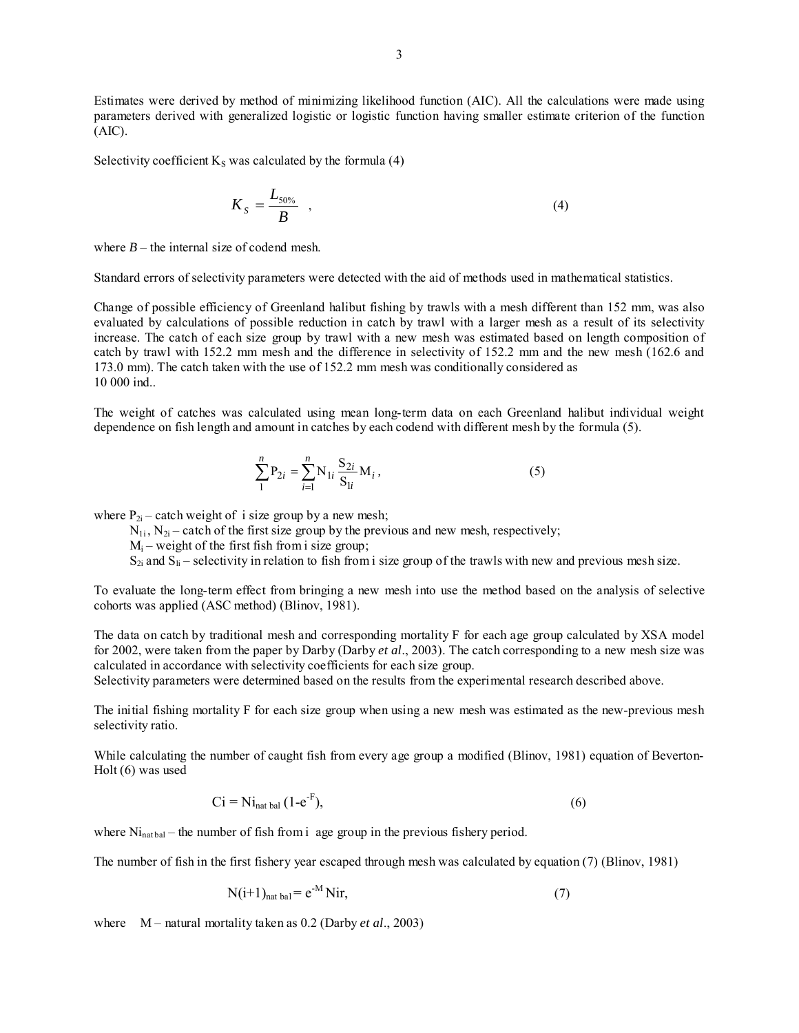Estimates were derived by method of minimizing likelihood function (AIC). All the calculations were made using parameters derived with generalized logistic or logistic function having smaller estimate criterion of the function (AIC).

Selectivity coefficient  $K<sub>S</sub>$  was calculated by the formula (4)

$$
K_{S} = \frac{L_{50\%}}{B} \quad , \tag{4}
$$

where  $B$  – the internal size of codend mesh.

Standard errors of selectivity parameters were detected with the aid of methods used in mathematical statistics.

Change of possible efficiency of Greenland halibut fishing by trawls with a mesh different than 152 mm, was also evaluated by calculations of possible reduction in catch by trawl with a larger mesh as a result of its selectivity increase. The catch of each size group by trawl with a new mesh was estimated based on length composition of catch by trawl with 152.2 mm mesh and the difference in selectivity of 152.2 mm and the new mesh (162.6 and 173.0 mm). The catch taken with the use of 152.2 mm mesh was conditionally considered as 10 000 ind..

The weight of catches was calculated using mean long-term data on each Greenland halibut individual weight dependence on fish length and amount in catches by each codend with different mesh by the formula (5).

$$
\sum_{1}^{n} P_{2i} = \sum_{i=1}^{n} N_{1i} \frac{S_{2i}}{S_{1i}} M_{i},
$$
\n(5)

where  $P_{2i}$  – catch weight of i size group by a new mesh;

 $N_{1i}$ ,  $N_{2i}$  – catch of the first size group by the previous and new mesh, respectively;

 $M_i$  – weight of the first fish from i size group;

 $S_{2i}$  and  $S_{1i}$  – selectivity in relation to fish from i size group of the trawls with new and previous mesh size.

To evaluate the long-term effect from bringing a new mesh into use the method based on the analysis of selective cohorts was applied (ASC method) (Blinov, 1981).

The data on catch by traditional mesh and corresponding mortality F for each age group calculated by XSA model for 2002, were taken from the paper by Darby (Darby *et al*., 2003). The catch corresponding to a new mesh size was calculated in accordance with selectivity coefficients for each size group.

Selectivity parameters were determined based on the results from the experimental research described above.

The initial fishing mortality F for each size group when using a new mesh was estimated as the new-previous mesh selectivity ratio.

While calculating the number of caught fish from every age group a modified (Blinov, 1981) equation of Beverton-Holt (6) was used

$$
Ci = Ninat bal (1-e-F),
$$
 (6)

where  $Ni<sub>nat bal</sub> - the number of fish from i age group in the previous fishery period.$ 

The number of fish in the first fishery year escaped through mesh was calculated by equation (7) (Blinov, 1981)

$$
N(i+1)_{nat bal} = e^{-M} Nir,
$$
\n(7)

where M – natural mortality taken as 0.2 (Darby *et al.*, 2003)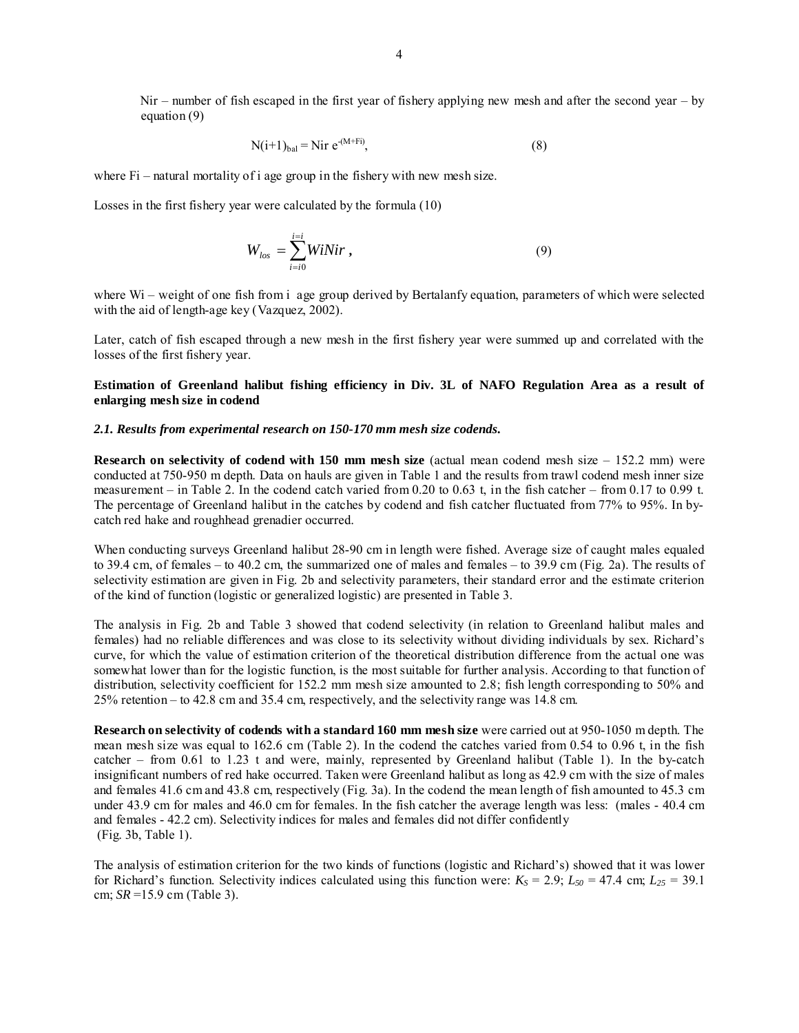Nir – number of fish escaped in the first year of fishery applying new mesh and after the second year – by equation (9)

$$
N(i+1)_{bal} = Nir e^{-(M+Fi)},
$$
\n(8)

where F<sub>i</sub> – natural mortality of *i* age group in the fishery with new mesh size.

Losses in the first fishery year were calculated by the formula (10)

$$
W_{los} = \sum_{i=10}^{i=i} WiNir , \qquad (9)
$$

where Wi – weight of one fish from i age group derived by Bertalanfy equation, parameters of which were selected with the aid of length-age key (Vazquez, 2002).

Later, catch of fish escaped through a new mesh in the first fishery year were summed up and correlated with the losses of the first fishery year.

**Estimation of Greenland halibut fishing efficiency in Div. 3L of NAFO Regulation Area as a result of enlarging mesh size in codend** 

## *2.1. Results from experimental research on 150-170 mm mesh size codends.*

**Research on selectivity of codend with 150 mm mesh size** (actual mean codend mesh size – 152.2 mm) were conducted at 750-950 m depth. Data on hauls are given in Table 1 and the results from trawl codend mesh inner size measurement – in Table 2. In the codend catch varied from 0.20 to 0.63 t, in the fish catcher – from 0.17 to 0.99 t. The percentage of Greenland halibut in the catches by codend and fish catcher fluctuated from 77% to 95%. In bycatch red hake and roughhead grenadier occurred.

When conducting surveys Greenland halibut 28-90 cm in length were fished. Average size of caught males equaled to 39.4 cm, of females – to 40.2 cm, the summarized one of males and females – to 39.9 cm (Fig. 2a). The results of selectivity estimation are given in Fig. 2b and selectivity parameters, their standard error and the estimate criterion of the kind of function (logistic or generalized logistic) are presented in Table 3.

The analysis in Fig. 2b and Table 3 showed that codend selectivity (in relation to Greenland halibut males and females) had no reliable differences and was close to its selectivity without dividing individuals by sex. Richard's curve, for which the value of estimation criterion of the theoretical distribution difference from the actual one was somewhat lower than for the logistic function, is the most suitable for further analysis. According to that function of distribution, selectivity coefficient for 152.2 mm mesh size amounted to 2.8; fish length corresponding to 50% and 25% retention – to 42.8 cm and 35.4 cm, respectively, and the selectivity range was 14.8 cm.

**Research on selectivity of codends with a standard 160 mm mesh size** were carried out at 950-1050 m depth. The mean mesh size was equal to 162.6 cm (Table 2). In the codend the catches varied from 0.54 to 0.96 t, in the fish catcher – from 0.61 to 1.23 t and were, mainly, represented by Greenland halibut (Table 1). In the by-catch insignificant numbers of red hake occurred. Taken were Greenland halibut as long as 42.9 cm with the size of males and females 41.6 cm and 43.8 cm, respectively (Fig. 3a). In the codend the mean length of fish amounted to 45.3 cm under 43.9 cm for males and 46.0 cm for females. In the fish catcher the average length was less: (males - 40.4 cm and females - 42.2 cm). Selectivity indices for males and females did not differ confidently (Fig. 3b, Table 1).

The analysis of estimation criterion for the two kinds of functions (logistic and Richard's) showed that it was lower for Richard's function. Selectivity indices calculated using this function were:  $K_S = 2.9$ ;  $L_{50} = 47.4$  cm;  $L_{25} = 39.1$ cm; *SR* =15.9 cm (Table 3).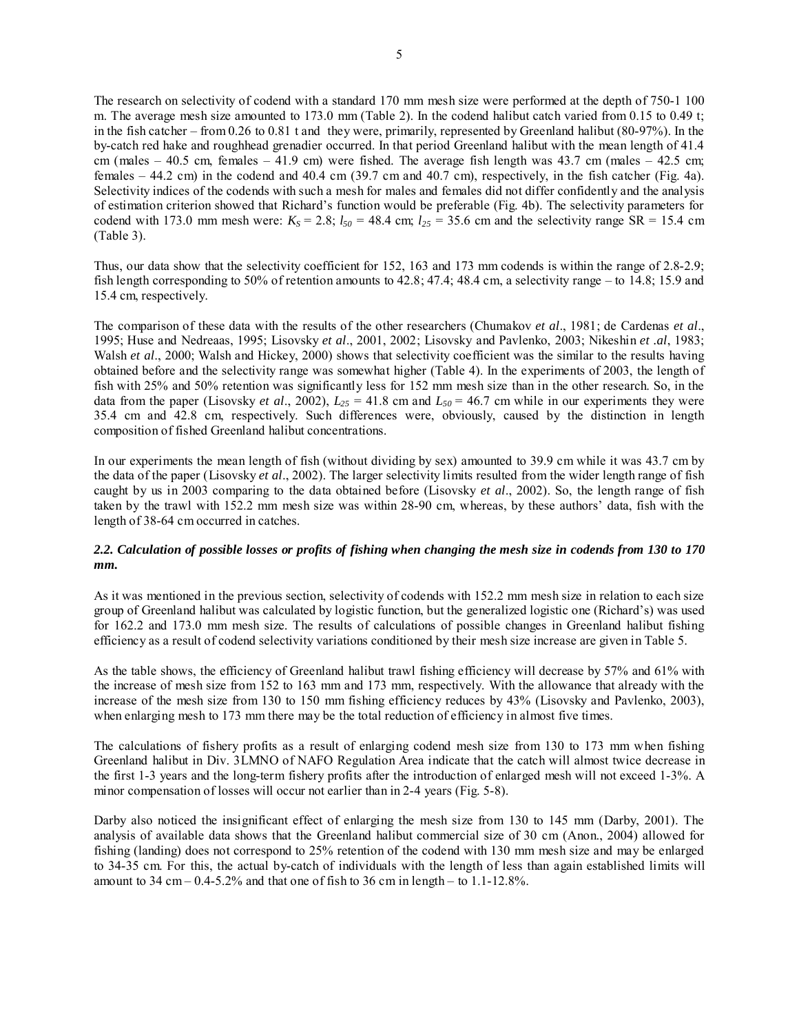The research on selectivity of codend with a standard 170 mm mesh size were performed at the depth of 750-1 100 m. The average mesh size amounted to 173.0 mm (Table 2). In the codend halibut catch varied from 0.15 to 0.49 t; in the fish catcher – from 0.26 to 0.81 t and they were, primarily, represented by Greenland halibut (80-97%). In the by-catch red hake and roughhead grenadier occurred. In that period Greenland halibut with the mean length of 41.4 cm (males – 40.5 cm, females – 41.9 cm) were fished. The average fish length was 43.7 cm (males – 42.5 cm; females – 44.2 cm) in the codend and 40.4 cm (39.7 cm and 40.7 cm), respectively, in the fish catcher (Fig. 4a). Selectivity indices of the codends with such a mesh for males and females did not differ confidently and the analysis of estimation criterion showed that Richard's function would be preferable (Fig. 4b). The selectivity parameters for codend with 173.0 mm mesh were:  $K_s = 2.8$ ;  $l_{50} = 48.4$  cm;  $l_{25} = 35.6$  cm and the selectivity range SR = 15.4 cm (Table 3).

Thus, our data show that the selectivity coefficient for 152, 163 and 173 mm codends is within the range of 2.8-2.9; fish length corresponding to 50% of retention amounts to 42.8; 47.4; 48.4 cm, a selectivity range – to 14.8; 15.9 and 15.4 cm, respectively.

The comparison of these data with the results of the other researchers (Chumakov *et al*., 1981; de Cardenas *et al*., 1995; Huse and Nedreaas, 1995; Lisovsky *et al*., 2001, 2002; Lisovsky and Pavlenko, 2003; Nikeshin *et .al*, 1983; Walsh *et al.*, 2000; Walsh and Hickey, 2000) shows that selectivity coefficient was the similar to the results having obtained before and the selectivity range was somewhat higher (Table 4). In the experiments of 2003, the length of fish with 25% and 50% retention was significantly less for 152 mm mesh size than in the other research. So, in the data from the paper (Lisovsky *et al.*, 2002),  $L_{25} = 41.8$  cm and  $L_{50} = 46.7$  cm while in our experiments they were 35.4 cm and 42.8 cm, respectively. Such differences were, obviously, caused by the distinction in length composition of fished Greenland halibut concentrations.

In our experiments the mean length of fish (without dividing by sex) amounted to 39.9 cm while it was 43.7 cm by the data of the paper (Lisovsky *et al*., 2002). The larger selectivity limits resulted from the wider length range of fish caught by us in 2003 comparing to the data obtained before (Lisovsky *et al*., 2002). So, the length range of fish taken by the trawl with 152.2 mm mesh size was within 28-90 cm, whereas, by these authors' data, fish with the length of 38-64 cm occurred in catches.

# *2.2. Calculation of possible losses or profits of fishing when changing the mesh size in codends from 130 to 170 mm.*

As it was mentioned in the previous section, selectivity of codends with 152.2 mm mesh size in relation to each size group of Greenland halibut was calculated by logistic function, but the generalized logistic one (Richard's) was used for 162.2 and 173.0 mm mesh size. The results of calculations of possible changes in Greenland halibut fishing efficiency as a result of codend selectivity variations conditioned by their mesh size increase are given in Table 5.

As the table shows, the efficiency of Greenland halibut trawl fishing efficiency will decrease by 57% and 61% with the increase of mesh size from 152 to 163 mm and 173 mm, respectively. With the allowance that already with the increase of the mesh size from 130 to 150 mm fishing efficiency reduces by 43% (Lisovsky and Pavlenko, 2003), when enlarging mesh to 173 mm there may be the total reduction of efficiency in almost five times.

The calculations of fishery profits as a result of enlarging codend mesh size from 130 to 173 mm when fishing Greenland halibut in Div. 3LMNO of NAFO Regulation Area indicate that the catch will almost twice decrease in the first 1-3 years and the long-term fishery profits after the introduction of enlarged mesh will not exceed 1-3%. A minor compensation of losses will occur not earlier than in 2-4 years (Fig. 5-8).

Darby also noticed the insignificant effect of enlarging the mesh size from 130 to 145 mm (Darby, 2001). The analysis of available data shows that the Greenland halibut commercial size of 30 cm (Anon., 2004) allowed for fishing (landing) does not correspond to 25% retention of the codend with 130 mm mesh size and may be enlarged to 34-35 cm. For this, the actual by-catch of individuals with the length of less than again established limits will amount to  $34 \text{ cm} - 0.4 - 5.2\%$  and that one of fish to  $36 \text{ cm}$  in length – to  $1.1 - 12.8\%$ .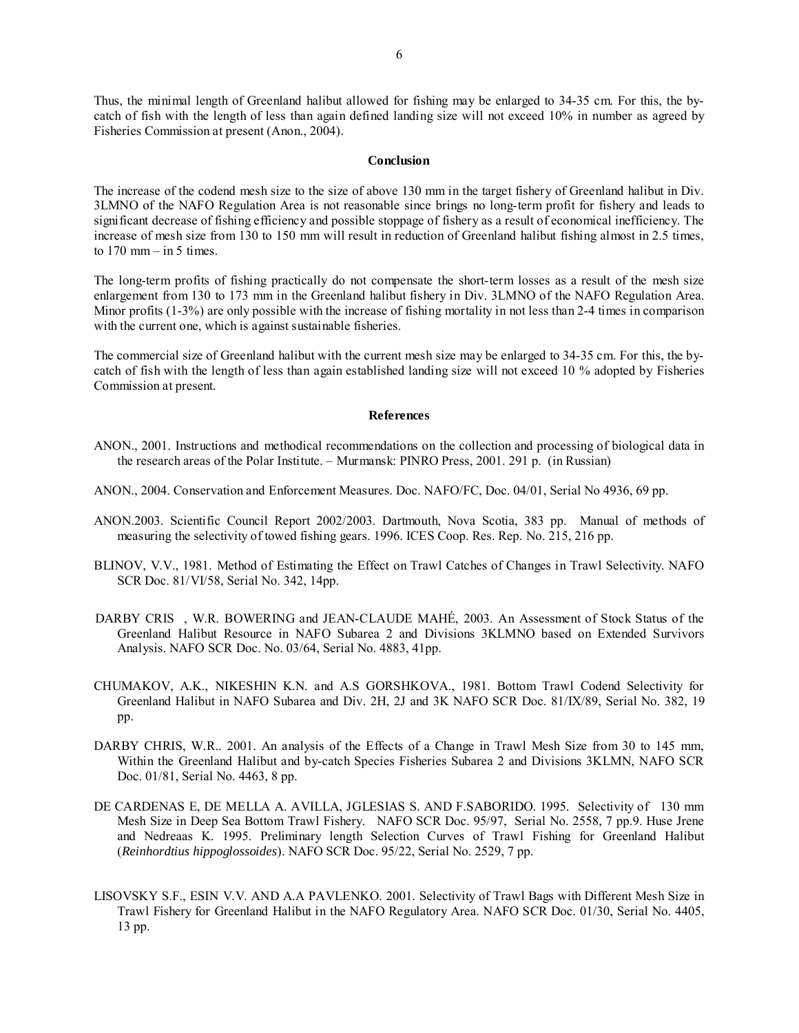Thus, the minimal length of Greenland halibut allowed for fishing may be enlarged to 34-35 cm. For this, the bycatch of fish with the length of less than again defined landing size will not exceed 10% in number as agreed by Fisheries Commission at present (Anon., 2004).

#### **Conclusion**

The increase of the codend mesh size to the size of above 130 mm in the target fishery of Greenland halibut in Div. 3LMNO of the NAFO Regulation Area is not reasonable since brings no long-term profit for fishery and leads to significant decrease of fishing efficiency and possible stoppage of fishery as a result of economical inefficiency. The increase of mesh size from 130 to 150 mm will result in reduction of Greenland halibut fishing almost in 2.5 times, to  $170 \text{ mm} - \text{in } 5 \text{ times.}$ 

The long-term profits of fishing practically do not compensate the short-term losses as a result of the mesh size enlargement from 130 to 173 mm in the Greenland halibut fishery in Div. 3LMNO of the NAFO Regulation Area. Minor profits (1-3%) are only possible with the increase of fishing mortality in not less than 2-4 times in comparison with the current one, which is against sustainable fisheries.

The commercial size of Greenland halibut with the current mesh size may be enlarged to 34-35 cm. For this, the bycatch of fish with the length of less than again established landing size will not exceed 10 % adopted by Fisheries Commission at present.

#### **References**

- ANON., 2001. Instructions and methodical recommendations on the collection and processing of biological data in the research areas of the Polar Institute. – Murmansk: PINRO Press, 2001. 291 p.(in Russian)
- ANON., 2004. Conservation and Enforcement Measures. Doc. NAFO/FC, Doc. 04/01, Serial No 4936, 69 pp.
- ANON.2003. Scientific Council Report 2002/2003. Dartmouth, Nova Scotia, 383 pp. Manual of methods of measuring the selectivity of towed fishing gears. 1996. ICES Coop. Res. Rep. No. 215, 216 pp.
- BLINOV, V.V., 1981. Method of Estimating the Effect on Trawl Catches of Changes in Trawl Selectivity. NAFO SCR Doc. 81/VI/58, Serial No. 342, 14pp.
- DARBY CRIS , W.R. BOWERING and JEAN-CLAUDE MAHÉ, 2003. An Assessment of Stock Status of the Greenland Halibut Resource in NAFO Subarea 2 and Divisions 3KLMNO based on Extended Survivors Analysis. NAFO SCR Doc. No. 03/64, Serial No. 4883, 41pp.
- CHUMAKOV, A.K., NIKESHIN K.N. and A.S GORSHKOVA., 1981. Bottom Trawl Codend Selectivity for Greenland Halibut in NAFO Subarea and Div. 2H, 2J and 3K NAFO SCR Doc. 81/IX/89, Serial No. 382, 19 pp.
- DARBY CHRIS, W.R.. 2001. An analysis of the Effects of a Change in Trawl Mesh Size from 30 to 145 mm, Within the Greenland Halibut and by-catch Species Fisheries Subarea 2 and Divisions 3KLMN, NAFO SCR Doc. 01/81, Serial No. 4463, 8 pp.
- DE CARDENAS E, DE MELLA A. AVILLA, JGLESIAS S. AND F.SABORIDO. 1995. Selectivity of 130 mm Mesh Size in Deep Sea Bottom Trawl Fishery. NAFO SCR Doc. 95/97, Serial No. 2558, 7 pp.9. Huse Jrene and Nedreaas K. 1995. Preliminary length Selection Curves of Trawl Fishing for Greenland Halibut (*Reinhordtius hippoglossoides*). NAFO SCR Doc. 95/22, Serial No. 2529, 7 pp.
- LISOVSKY S.F., ESIN V.V. AND A.A PAVLENKO. 2001. Selectivity of Trawl Bags with Different Mesh Size in Trawl Fishery for Greenland Halibut in the NAFO Regulatory Area. NAFO SCR Doc. 01/30, Serial No. 4405, 13 pp.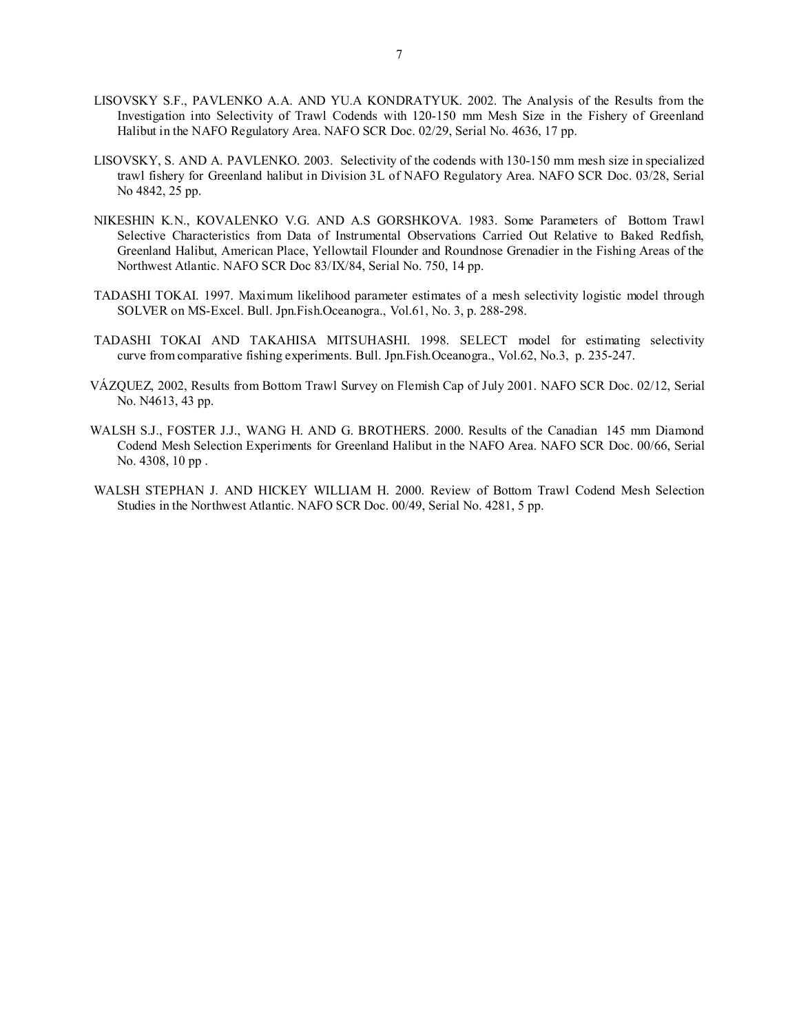- LISOVSKY S.F., PAVLENKO A.A. AND YU.A KONDRATYUK. 2002. The Analysis of the Results from the Investigation into Selectivity of Trawl Codends with 120-150 mm Mesh Size in the Fishery of Greenland Halibut in the NAFO Regulatory Area. NAFO SCR Doc. 02/29, Serial No. 4636, 17 pp.
- LISOVSKY, S. AND A. PAVLENKO. 2003. Selectivity of the codends with 130-150 mm mesh size in specialized trawl fishery for Greenland halibut in Division 3L of NAFO Regulatory Area. NAFO SCR Doc. 03/28, Serial No 4842, 25 pp.
- NIKESHIN K.N., KOVALENKO V.G. AND A.S GORSHKOVA. 1983. Some Parameters of Bottom Trawl Selective Characteristics from Data of Instrumental Observations Carried Out Relative to Baked Redfish, Greenland Halibut, American Place, Yellowtail Flounder and Roundnose Grenadier in the Fishing Areas of the Northwest Atlantic. NAFO SCR Doc 83/IX/84, Serial No. 750, 14 pp.
- TADASHI TOKAI. 1997. Maximum likelihood parameter estimates of a mesh selectivity logistic model through SOLVER on MS-Excel. Bull. Jpn. Fish. Oceanogra., Vol. 61, No. 3, p. 288-298.
- TADASHI TOKAI AND TAKAHISA MITSUHASHI. 1998. SELECT model for estimating selectivity curve from comparative fishing experiments. Bull. Jpn.Fish.Oceanogra., Vol.62, No.3, р. 235-247.
- VÁZQUEZ, 2002, Results from Bottom Trawl Survey on Flemish Cap of July 2001. NAFO SCR Doc. 02/12, Serial No. N4613, 43 pp.
- WALSH S.J., FOSTER J.J., WANG H. AND G. BROTHERS. 2000. Results of the Canadian 145 mm Diamond Codend Mesh Selection Experiments for Greenland Halibut in the NAFO Area. NAFO SCR Doc. 00/66, Serial No. 4308, 10 pp .
- WALSH STEPHAN J. AND HICKEY WILLIAM H. 2000. Review of Bottom Trawl Codend Mesh Selection Studies in the Northwest Atlantic. NAFO SCR Doc. 00/49, Serial No. 4281, 5 pp.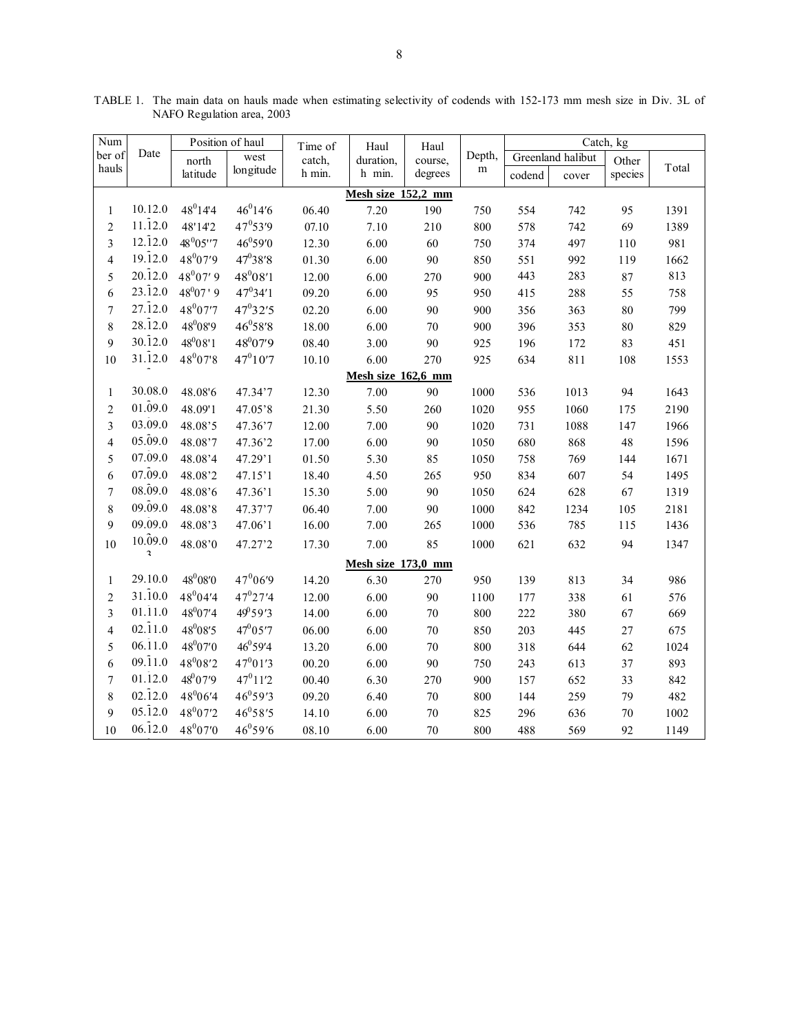| Num                     | Date                      | Position of haul     |                      | Time of | Haul               | Haul    |           | Catch, kg         |       |         |       |  |
|-------------------------|---------------------------|----------------------|----------------------|---------|--------------------|---------|-----------|-------------------|-------|---------|-------|--|
| ber of                  |                           | north                | west                 | catch,  | duration,          | course, | Depth,    | Greenland halibut |       | Other   |       |  |
| hauls                   |                           | latitude             | longitude            | h min.  | h min.             | degrees | ${\rm m}$ | codend            | cover | species | Total |  |
| Mesh size 152,2 mm      |                           |                      |                      |         |                    |         |           |                   |       |         |       |  |
| $\mathbf{1}$            | 10.12.0                   | $48^014^14$          | $46^{0}14'6$         | 06.40   | 7.20               | 190     | 750       | 554               | 742   | 95      | 1391  |  |
| $\sqrt{2}$              | $11.\overline{12.0}$      | 48'14'2              | 47°53'9              | 07.10   | 7.10               | 210     | 800       | 578               | 742   | 69      | 1389  |  |
| $\overline{\mathbf{3}}$ | $12.\overline{12.0}$      | 48 <sup>0</sup> 05"7 | 46°59′0              | 12.30   | 6.00               | 60      | 750       | 374               | 497   | 110     | 981   |  |
| $\overline{4}$          | 19.12.0                   | 48 <sup>0</sup> 07'9 | $47^{0}38'8$         | 01.30   | 6.00               | $90\,$  | 850       | 551               | 992   | 119     | 1662  |  |
| 5                       | $20.\overline{1}2.0$      | $48^007'$ 9          | 48 <sup>0</sup> 08'1 | 12.00   | 6.00               | 270     | 900       | 443               | 283   | 87      | 813   |  |
| 6                       | $23.\overline{1}2.0$      | $48^007'$ 9          | $47^{0}34'1$         | 09.20   | 6.00               | 95      | 950       | 415               | 288   | 55      | 758   |  |
| $\overline{7}$          | 27.12.0                   | 48 <sup>0</sup> 07'7 | 47°32'5              | 02.20   | 6.00               | 90      | 900       | 356               | 363   | $80\,$  | 799   |  |
| 8                       | 28.12.0                   | 48008'9              | $46^{0}58'8$         | 18.00   | 6.00               | $70\,$  | 900       | 396               | 353   | $80\,$  | 829   |  |
| 9                       | 30.12.0                   | $48^008'1$           | 48 <sup>0</sup> 07'9 | 08.40   | 3.00               | 90      | 925       | 196               | 172   | 83      | 451   |  |
| 10                      | $31.\overline{12.0}$      | $48^{0}07'8$         | $47^{0}10'7$         | 10.10   | 6.00               | 270     | 925       | 634               | 811   | 108     | 1553  |  |
|                         | Mesh size 162,6 mm        |                      |                      |         |                    |         |           |                   |       |         |       |  |
| $\mathbf{1}$            | 30.08.0                   | 48.08'6              | 47.34'7              | 12.30   | 7.00               | 90      | 1000      | 536               | 1013  | 94      | 1643  |  |
| $\overline{c}$          | 01.09.0                   | 48.09'1              | 47.05'8              | 21.30   | 5.50               | 260     | 1020      | 955               | 1060  | 175     | 2190  |  |
| 3                       | 03.09.0                   | 48.08'5              | 47.36'7              | 12.00   | 7.00               | $90\,$  | 1020      | 731               | 1088  | 147     | 1966  |  |
| $\overline{4}$          | 05.09.0                   | 48.08'7              | 47.36'2              | 17.00   | 6.00               | 90      | 1050      | 680               | 868   | 48      | 1596  |  |
| 5                       | 07.09.0                   | 48.08'4              | 47.29'1              | 01.50   | 5.30               | 85      | 1050      | 758               | 769   | 144     | 1671  |  |
| 6                       | 07.09.0                   | 48.08'2              | 47.15'1              | 18.40   | 4.50               | 265     | 950       | 834               | 607   | 54      | 1495  |  |
| $\overline{7}$          | 08.09.0                   | 48.08'6              | 47.36'1              | 15.30   | 5.00               | 90      | 1050      | 624               | 628   | 67      | 1319  |  |
| 8                       | 09.09.0                   | 48.08'8              | 47.37'7              | 06.40   | 7.00               | $90\,$  | 1000      | 842               | 1234  | 105     | 2181  |  |
| 9                       | 09.09.0                   | 48.08'3              | 47.06'1              | 16.00   | 7.00               | 265     | 1000      | 536               | 785   | 115     | 1436  |  |
| 10                      | 10.09.0<br>$\overline{a}$ | 48.08'0              | 47.27'2              | 17.30   | 7.00               | 85      | 1000      | 621               | 632   | 94      | 1347  |  |
|                         |                           |                      |                      |         | Mesh size 173,0 mm |         |           |                   |       |         |       |  |
| $\mathbf{1}$            | 29.10.0                   | $48^{0}08'0$         | 47 <sup>0</sup> 06'9 | 14.20   | 6.30               | 270     | 950       | 139               | 813   | 34      | 986   |  |
| $\overline{c}$          | $31.\overline{10.0}$      | 48004'4              | 47°27'4              | 12.00   | 6.00               | $90\,$  | 1100      | 177               | 338   | 61      | 576   |  |
| 3                       | 01.11.0                   | 48 <sup>0</sup> 07'4 | 49°59'3              | 14.00   | 6.00               | $70\,$  | 800       | 222               | 380   | 67      | 669   |  |
| $\overline{4}$          | 02.11.0                   | 48008'5              | 47°05'7              | 06.00   | 6.00               | $70\,$  | 850       | 203               | 445   | $27\,$  | 675   |  |
| 5                       | 06.11.0                   | 48 <sup>0</sup> 07'0 | $46^{0}59'4$         | 13.20   | 6.00               | $70\,$  | 800       | 318               | 644   | 62      | 1024  |  |
| 6                       | 09.11.0                   | 48008'2              | $47^{0}01'3$         | 00.20   | 6.00               | $90\,$  | 750       | 243               | 613   | 37      | 893   |  |
| $\overline{7}$          | 01.12.0                   | 4807'9               | $47^{0}11'2$         | 00.40   | 6.30               | 270     | 900       | 157               | 652   | 33      | 842   |  |
| $\,$ $\,$               | 02.12.0                   | 48066'4              | $46^{0}59'3$         | 09.20   | 6.40               | $70\,$  | 800       | 144               | 259   | 79      | 482   |  |
| 9                       | 05.12.0                   | 48 <sup>0</sup> 07'2 | $46^{0}58'5$         | 14.10   | 6.00               | 70      | 825       | 296               | 636   | 70      | 1002  |  |
| 10                      | 06.12.0                   | $48^007^{\prime}0$   | 46°59'6              | 08.10   | 6.00               | 70      | 800       | 488               | 569   | 92      | 1149  |  |
|                         |                           |                      |                      |         |                    |         |           |                   |       |         |       |  |

TABLE 1. The main data on hauls made when estimating selectivity of codends with 152-173 mm mesh size in Div. 3L of NAFO Regulation area, 2003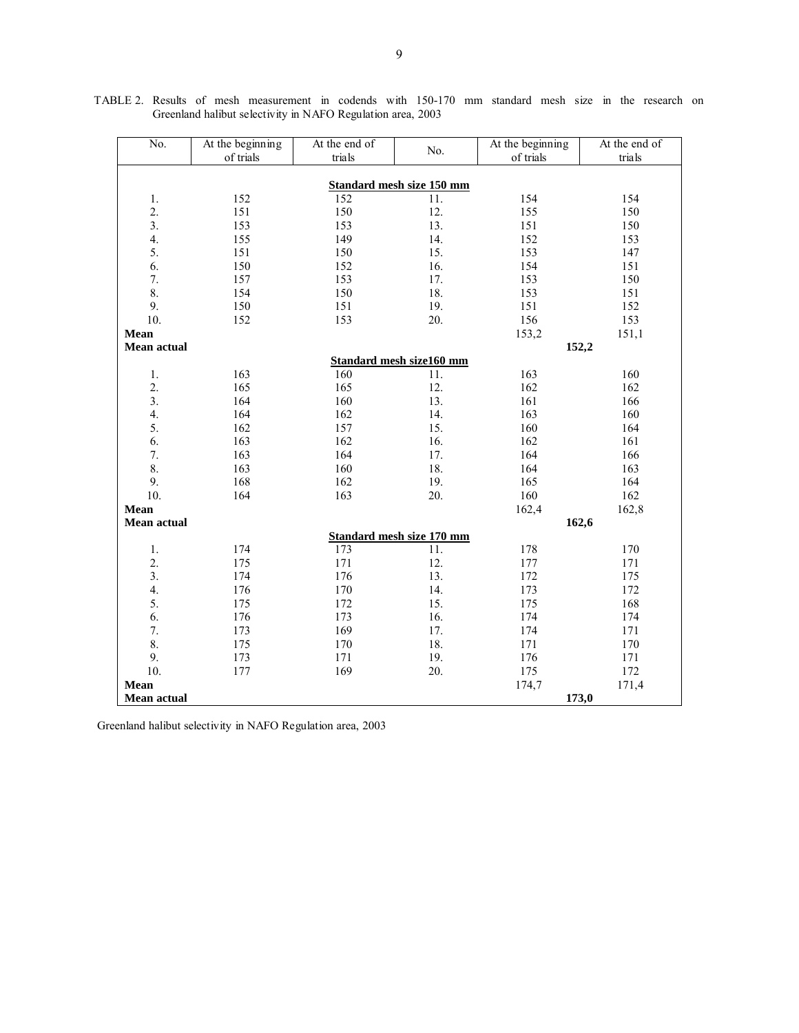| No.                              | At the beginning | At the end of | No.                              | At the beginning | At the end of<br>trials |  |  |  |  |  |
|----------------------------------|------------------|---------------|----------------------------------|------------------|-------------------------|--|--|--|--|--|
|                                  | of trials        | trials        |                                  | of trials        |                         |  |  |  |  |  |
|                                  |                  |               |                                  |                  |                         |  |  |  |  |  |
| <b>Standard mesh size 150 mm</b> |                  |               |                                  |                  |                         |  |  |  |  |  |
| 1.                               | 152              | 152           | 11.                              | 154              | 154                     |  |  |  |  |  |
| $\overline{2}$ .                 | 151              | 150           | 12.                              | 155              | 150                     |  |  |  |  |  |
| 3.                               | 153              | 153           | 13.                              | 151              | 150                     |  |  |  |  |  |
| 4.                               | 155              | 149           | 14.                              | 152              | 153                     |  |  |  |  |  |
| 5.                               | 151              | 150           | 15.                              | 153              | 147                     |  |  |  |  |  |
| 6.                               | 150              | 152           | 16.                              | 154              | 151                     |  |  |  |  |  |
| 7.                               | 157              | 153           | 17.                              | 153              | 150                     |  |  |  |  |  |
| 8.                               | 154              | 150           | 18.                              | 153              | 151                     |  |  |  |  |  |
| 9.                               | 150              | 151           | 19.                              | 151              | 152                     |  |  |  |  |  |
| 10.                              | 152              | 153           | 20.                              | 156              | 153                     |  |  |  |  |  |
| <b>Mean</b>                      |                  |               |                                  | 153,2            | 151,1                   |  |  |  |  |  |
| Mean actual                      |                  |               |                                  | 152,2            |                         |  |  |  |  |  |
|                                  |                  |               | <b>Standard mesh size160 mm</b>  |                  |                         |  |  |  |  |  |
| 1.                               | 163              | 160           | 11.                              | 163              | 160                     |  |  |  |  |  |
| $\overline{2}$ .                 | 165              | 165           | 12.                              | 162              | 162                     |  |  |  |  |  |
| 3.                               | 164              | 160           | 13.                              | 161              | 166                     |  |  |  |  |  |
| 4.                               | 164              | 162           | 14.                              | 163              | 160                     |  |  |  |  |  |
| 5.                               | 162              | 157           | 15.                              | 160              | 164                     |  |  |  |  |  |
| 6.                               | 163              | 162           | 16.                              | 162              | 161                     |  |  |  |  |  |
| 7.                               | 163              | 164           | 17.                              | 164              | 166                     |  |  |  |  |  |
| 8.                               | 163              | 160           | 18.                              | 164              | 163                     |  |  |  |  |  |
| 9.                               | 168              | 162           | 19.                              | 165              | 164                     |  |  |  |  |  |
| 10.                              | 164              | 163           | 20.                              | 160              | 162                     |  |  |  |  |  |
| Mean                             |                  |               |                                  | 162,4            | 162,8                   |  |  |  |  |  |
| Mean actual                      |                  |               |                                  | 162,6            |                         |  |  |  |  |  |
|                                  |                  |               | <b>Standard mesh size 170 mm</b> |                  |                         |  |  |  |  |  |
| 1.                               | 174              | 173           | 11.                              | 178              | 170                     |  |  |  |  |  |
| 2.                               | 175              | 171           | 12.                              | 177              | 171                     |  |  |  |  |  |
| 3.                               | 174              | 176           | 13.                              | 172              | 175                     |  |  |  |  |  |
| 4.                               | 176              | 170           | 14.                              | 173              | 172                     |  |  |  |  |  |
| 5.                               | 175              | 172           | 15.                              | 175              | 168                     |  |  |  |  |  |
| 6.                               | 176              | 173           | 16.                              | 174              | 174                     |  |  |  |  |  |
| 7.                               | 173              | 169           | 17.                              | 174              | 171                     |  |  |  |  |  |
| 8.                               | 175              | 170           | 18.                              | 171              | 170                     |  |  |  |  |  |
| 9.                               | 173              | 171           | 19.                              | 176              | 171                     |  |  |  |  |  |
| 10.                              | 177              | 169           | 20.                              | 175              | 172                     |  |  |  |  |  |
| Mean                             |                  |               |                                  | 174,7            | 171,4                   |  |  |  |  |  |
| Mean actual                      |                  |               |                                  | 173,0            |                         |  |  |  |  |  |

TABLE 2. Results of mesh measurement in codends with 150-170 mm standard mesh size in the research on Greenland halibut selectivity in NAFO Regulation area, 2003

Greenland halibut selectivity in NAFO Regulation area, 2003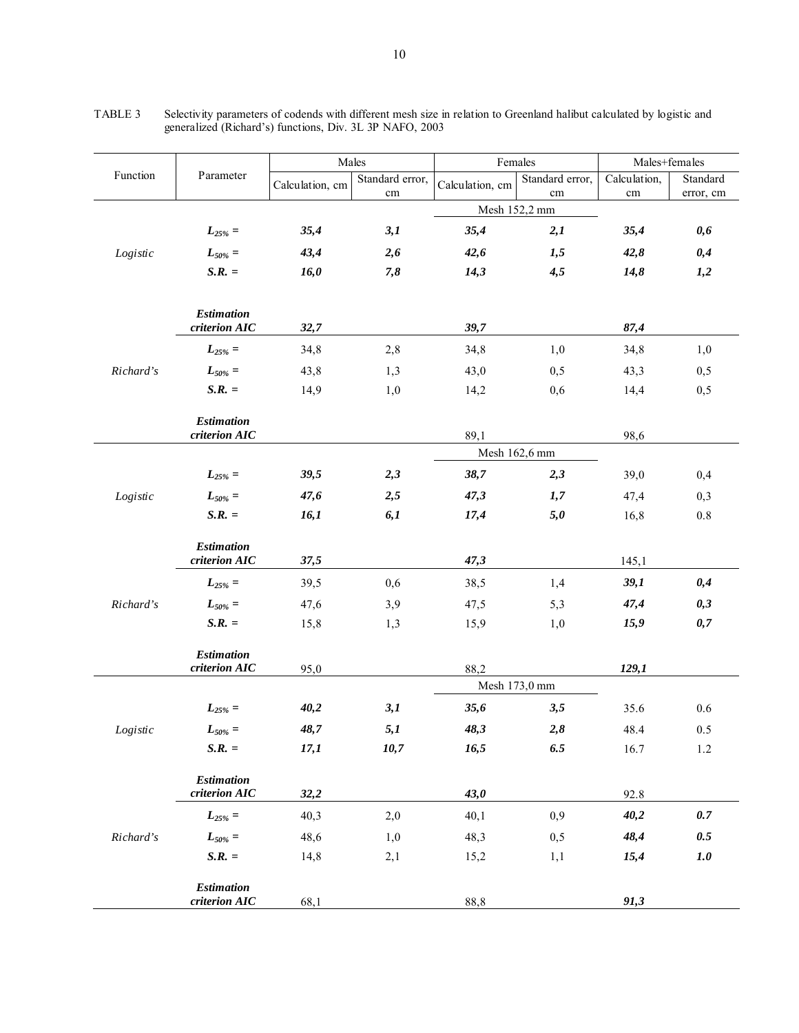|           |                                    | Males           |                 | Females         |                 | Males+females |           |  |
|-----------|------------------------------------|-----------------|-----------------|-----------------|-----------------|---------------|-----------|--|
| Function  | Parameter                          | Calculation, cm | Standard error, | Calculation, cm | Standard error, | Calculation,  | Standard  |  |
|           |                                    |                 | cm              |                 | cm              | $\,\rm cm$    | error, cm |  |
|           |                                    |                 |                 | Mesh 152,2 mm   |                 |               |           |  |
|           | $L_{25\%} =$                       | 35,4            | 3,1             | 35,4            | 2,1             | 35,4          | 0,6       |  |
| Logistic  | $L_{50\%} =$                       | 43,4            | 2,6             | 42,6            | 1,5             | 42,8          | 0,4       |  |
|           | $S.R. =$                           | 16,0            | 7,8             | 14,3            | 4,5             | 14,8          | 1,2       |  |
|           |                                    |                 |                 |                 |                 |               |           |  |
|           | <b>Estimation</b><br>criterion AIC | 32,7            |                 | 39,7            |                 | 87,4          |           |  |
|           |                                    |                 |                 |                 |                 |               |           |  |
|           | $L_{25\%} =$                       | 34,8            | 2,8             | 34,8            | 1,0             | 34,8          | 1,0       |  |
| Richard's | $L_{50\%} =$                       | 43,8            | 1,3             | 43,0            | 0, 5            | 43,3          | 0, 5      |  |
|           | $S.R. =$                           | 14,9            | 1,0             | 14,2            | 0,6             | 14,4          | 0, 5      |  |
|           | <b>Estimation</b>                  |                 |                 |                 |                 |               |           |  |
|           | criterion AIC                      |                 |                 | 89,1            |                 | 98,6          |           |  |
|           |                                    |                 |                 | Mesh 162,6 mm   |                 |               |           |  |
|           | $L_{25\%} =$                       | 39,5            | 2,3             | 38,7            | 2,3             | 39,0          | 0,4       |  |
| Logistic  | $L_{50\%} =$                       | 47,6            | 2,5             | 47,3            | 1,7             | 47,4          | 0,3       |  |
|           | $S.R. =$                           | 16,1            | 6,1             | 17,4            | 5,0             | 16,8          | $0.8\,$   |  |
|           | <b>Estimation</b>                  |                 |                 |                 |                 |               |           |  |
|           | criterion AIC                      | 37,5            |                 | 47,3            |                 | 145,1         |           |  |
|           | $L_{25\%} =$                       | 39,5            | 0,6             | 38,5            | 1,4             | 39,1          | 0,4       |  |
| Richard's | $L_{50\%} =$                       | 47,6            | 3,9             | 47,5            | 5,3             | 47,4          | 0,3       |  |
|           | $S.R. =$                           | 15,8            | 1,3             | 15,9            | 1,0             | 15,9          | 0,7       |  |
|           |                                    |                 |                 |                 |                 |               |           |  |
|           | <b>Estimation</b><br>criterion AIC | 95,0            |                 | 88,2            |                 | 129,1         |           |  |
|           |                                    |                 |                 | Mesh 173,0 mm   |                 |               |           |  |
|           | $L_{25\%} =$                       | 40,2            | 3,1             | 35,6            | 3,5             | 35.6          | 0.6       |  |
| Logistic  | $L_{50\%} =$                       | 48,7            | 5,1             | 48,3            | 2,8             | 48.4          | 0.5       |  |
|           | $S.R. =$                           | 17,1            | 10,7            | 16,5            | 6.5             | 16.7          | 1.2       |  |
|           |                                    |                 |                 |                 |                 |               |           |  |
|           | <b>Estimation</b><br>criterion AIC | 32,2            |                 | 43,0            |                 | 92.8          |           |  |
|           | $L_{25\%} =$                       | 40,3            | 2,0             | 40,1            | 0,9             | 40,2          | 0.7       |  |
| Richard's | $L_{50\%} =$                       | 48,6            | 1,0             | 48,3            | 0, 5            | 48,4          | 0.5       |  |
|           | $S.R. =$                           | 14,8            | 2,1             | 15,2            | 1,1             | 15,4          | 1.0       |  |
|           |                                    |                 |                 |                 |                 |               |           |  |
|           | <b>Estimation</b><br>criterion AIC |                 |                 | 88,8            |                 | 91,3          |           |  |
|           |                                    | 68,1            |                 |                 |                 |               |           |  |

TABLE 3 Selectivity parameters of codends with different mesh size in relation to Greenland halibut calculated by logistic and generalized (Richard's) functions, Div. 3L 3P NAFO, 2003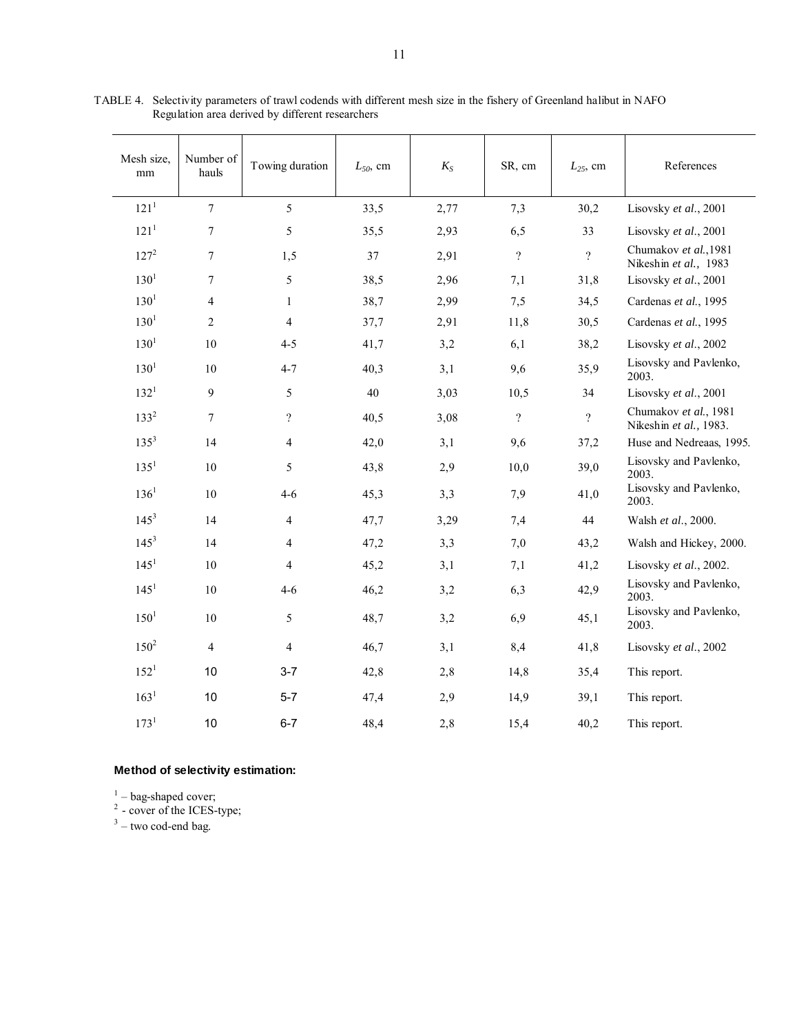| Mesh size,<br>mm | Number of<br>hauls | Towing duration | $L_{50}$ , cm | $K_S$ | SR, cm                   | $L_{25}$ , cm  | References                                      |
|------------------|--------------------|-----------------|---------------|-------|--------------------------|----------------|-------------------------------------------------|
| 121 <sup>1</sup> | $\overline{7}$     | 5               | 33,5          | 2,77  | 7,3                      | 30,2           | Lisovsky et al., 2001                           |
| 121 <sup>1</sup> | $\tau$             | 5               | 35,5          | 2,93  | 6, 5                     | 33             | Lisovsky et al., 2001                           |
| $127^2$          | $\boldsymbol{7}$   | 1,5             | 37            | 2,91  | $\overline{?}$           | $\overline{?}$ | Chumakov et al., 1981<br>Nikeshin et al., 1983  |
| 130 <sup>1</sup> | $\overline{7}$     | 5               | 38,5          | 2,96  | 7,1                      | 31,8           | Lisovsky et al., 2001                           |
| $130^{1}$        | $\overline{4}$     | $\mathbf{1}$    | 38,7          | 2,99  | 7,5                      | 34,5           | Cardenas et al., 1995                           |
| $130^{1}$        | $\overline{2}$     | $\overline{4}$  | 37,7          | 2,91  | 11,8                     | 30,5           | Cardenas et al., 1995                           |
| $130^{1}$        | 10                 | $4 - 5$         | 41,7          | 3,2   | 6,1                      | 38,2           | Lisovsky et al., 2002                           |
| $130^{1}$        | $10\,$             | $4 - 7$         | 40,3          | 3,1   | 9,6                      | 35,9           | Lisovsky and Pavlenko,<br>2003.                 |
| $132^{1}$        | 9                  | 5               | 40            | 3,03  | 10,5                     | 34             | Lisovsky et al., 2001                           |
| $133^2$          | $\tau$             | $\overline{?}$  | 40,5          | 3,08  | $\overline{\mathcal{L}}$ | $\overline{?}$ | Chumakov et al., 1981<br>Nikeshin et al., 1983. |
| $135^3$          | 14                 | $\overline{4}$  | 42,0          | 3,1   | 9,6                      | 37,2           | Huse and Nedreaas, 1995.                        |
| $135^1$          | $10\,$             | 5               | 43,8          | 2,9   | 10,0                     | 39,0           | Lisovsky and Pavlenko,<br>2003.                 |
| 136 <sup>1</sup> | $10\,$             | $4 - 6$         | 45,3          | 3,3   | 7,9                      | 41,0           | Lisovsky and Pavlenko,<br>2003.                 |
| $145^3$          | 14                 | $\overline{4}$  | 47,7          | 3,29  | 7,4                      | 44             | Walsh et al., 2000.                             |
| $145^3$          | 14                 | $\overline{4}$  | 47,2          | 3,3   | 7,0                      | 43,2           | Walsh and Hickey, 2000.                         |
| 145 <sup>1</sup> | $10\,$             | $\overline{4}$  | 45,2          | 3,1   | 7,1                      | 41,2           | Lisovsky et al., 2002.                          |
| 145 <sup>1</sup> | $10\,$             | $4 - 6$         | 46,2          | 3,2   | 6,3                      | 42,9           | Lisovsky and Pavlenko,<br>2003.                 |
| $150^1$          | $10\,$             | 5               | 48,7          | 3,2   | 6,9                      | 45,1           | Lisovsky and Pavlenko,<br>2003.                 |
| $150^2$          | $\overline{4}$     | $\overline{4}$  | 46,7          | 3,1   | 8,4                      | 41,8           | Lisovsky et al., 2002                           |
| 152 <sup>1</sup> | 10                 | $3 - 7$         | 42,8          | 2,8   | 14,8                     | 35,4           | This report.                                    |
| 163 <sup>1</sup> | 10                 | $5 - 7$         | 47,4          | 2,9   | 14,9                     | 39,1           | This report.                                    |
| 173 <sup>1</sup> | 10                 | $6 - 7$         | 48,4          | 2,8   | 15,4                     | 40,2           | This report.                                    |

TABLE 4. Selectivity parameters of trawl codends with different mesh size in the fishery of Greenland halibut in NAFO Regulation area derived by different researchers

# **Method of selectivity estimation:**

 $1 -$  bag-shaped cover;

 $2^2$  - cover of the ICES-type;<br> $3 -$  two cod-end bag.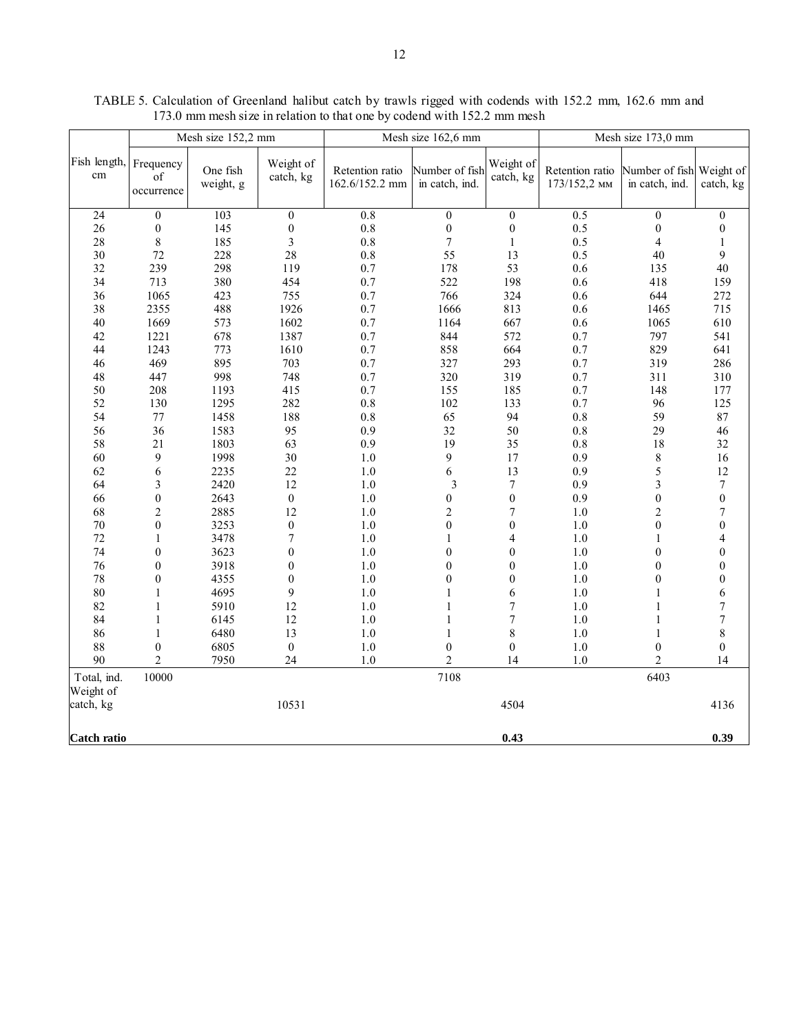|                    | Mesh size 152,2 mm            |                       |                        |                                   | Mesh size 162,6 mm               |                        | Mesh size 173,0 mm              |                                            |                  |
|--------------------|-------------------------------|-----------------------|------------------------|-----------------------------------|----------------------------------|------------------------|---------------------------------|--------------------------------------------|------------------|
| Fish length.<br>cm | Frequency<br>of<br>occurrence | One fish<br>weight, g | Weight of<br>catch, kg | Retention ratio<br>162.6/152.2 mm | Number of fish<br>in catch, ind. | Weight of<br>catch, kg | Retention ratio<br>173/152,2 мм | Number of fish Weight of<br>in catch, ind. | catch, kg        |
| 24                 | $\boldsymbol{0}$              | 103                   | $\boldsymbol{0}$       | 0.8                               | $\overline{0}$                   | $\overline{0}$         | 0.5                             | $\boldsymbol{0}$                           | $\mathbf{0}$     |
| $26\,$             | $\boldsymbol{0}$              | 145                   | $\boldsymbol{0}$       | $0.8\,$                           | $\boldsymbol{0}$                 | $\boldsymbol{0}$       | 0.5                             | $\boldsymbol{0}$                           | $\boldsymbol{0}$ |
| $28\,$             | $\,$ 8 $\,$                   | 185                   | 3                      | $0.8\,$                           | $\boldsymbol{7}$                 | $\mathbf{1}$           | 0.5                             | 4                                          | $\mathbf{1}$     |
| 30                 | $72\,$                        | 228                   | 28                     | $0.8\,$                           | 55                               | 13                     | 0.5                             | 40                                         | 9                |
| 32                 | 239                           | 298                   | 119                    | 0.7                               | 178                              | 53                     | 0.6                             | 135                                        | 40               |
| 34                 | 713                           | 380                   | 454                    | 0.7                               | 522                              | 198                    | 0.6                             | 418                                        | 159              |
| 36                 | 1065                          | 423                   | 755                    | 0.7                               | 766                              | 324                    | 0.6                             | 644                                        | 272              |
| $38\,$             | 2355                          | 488                   | 1926                   | $0.7\,$                           | 1666                             | 813                    | 0.6                             | 1465                                       | 715              |
| 40                 | 1669                          | 573                   | 1602                   | 0.7                               | 1164                             | 667                    | 0.6                             | 1065                                       | 610              |
| $42\,$             | 1221                          | 678                   | 1387                   | 0.7                               | 844                              | 572                    | 0.7                             | 797                                        | 541              |
| 44                 | 1243                          | 773                   | 1610                   | 0.7                               | 858                              | 664                    | 0.7                             | 829                                        | 641              |
| 46                 | 469                           | 895                   | 703                    | 0.7                               | 327                              | 293                    | 0.7                             | 319                                        | 286              |
| 48                 | 447                           | 998                   | 748                    | 0.7                               | 320                              | 319                    | 0.7                             | 311                                        | 310              |
| $50\,$             | 208                           | 1193                  | 415                    | 0.7                               | 155                              | 185                    | 0.7                             | 148                                        | 177              |
| 52                 | 130                           | 1295                  | 282                    | $0.8\,$                           | 102                              | 133                    | $0.7\,$                         | 96                                         | 125              |
| 54                 | $77\,$                        | 1458                  | 188                    | $0.8\,$                           | 65                               | 94                     | 0.8                             | 59                                         | $\bf 87$         |
| 56                 | 36                            | 1583                  | 95                     | 0.9                               | 32                               | 50                     | 0.8                             | 29                                         | 46               |
| 58                 | 21                            | 1803                  | 63                     | 0.9                               | 19                               | 35                     | 0.8                             | 18                                         | 32               |
| 60                 | 9                             | 1998                  | 30                     | $1.0$                             | 9                                | $17\,$                 | 0.9                             | 8                                          | 16               |
| 62                 | $\sqrt{6}$                    | 2235                  | $22\,$                 | $1.0\,$                           | 6                                | 13                     | 0.9                             | 5                                          | $12\,$           |
| 64                 | 3                             | 2420                  | 12                     | $1.0\,$                           | $\mathfrak{Z}$                   | $\tau$                 | 0.9                             | 3                                          | $\boldsymbol{7}$ |
| 66                 | $\boldsymbol{0}$              | 2643                  | $\boldsymbol{0}$       | $1.0\,$                           | $\boldsymbol{0}$                 | $\boldsymbol{0}$       | 0.9                             | $\boldsymbol{0}$                           | $\boldsymbol{0}$ |
| 68                 | $\overline{c}$                | 2885                  | 12                     | $1.0\,$                           | $\overline{\mathbf{c}}$          | 7                      | $1.0\,$                         | $\overline{c}$                             | $\boldsymbol{7}$ |
| $70\,$             | $\boldsymbol{0}$              | 3253                  | $\boldsymbol{0}$       | $1.0\,$                           | $\boldsymbol{0}$                 | $\boldsymbol{0}$       | 1.0                             | $\boldsymbol{0}$                           | $\boldsymbol{0}$ |
| 72                 | 1                             | 3478                  | $\boldsymbol{7}$       | $1.0\,$                           | $\mathbf{1}$                     | 4                      | $1.0\,$                         | 1                                          | 4                |
| 74                 | $\boldsymbol{0}$              | 3623                  | $\boldsymbol{0}$       | $1.0\,$                           | $\boldsymbol{0}$                 | $\boldsymbol{0}$       | $1.0\,$                         | $\boldsymbol{0}$                           | $\boldsymbol{0}$ |
| 76                 | $\boldsymbol{0}$              | 3918                  | $\boldsymbol{0}$       | $1.0\,$                           | $\boldsymbol{0}$                 | $\boldsymbol{0}$       | $1.0\,$                         | $\boldsymbol{0}$                           | $\boldsymbol{0}$ |
| $78\,$             | $\boldsymbol{0}$              | 4355                  | $\boldsymbol{0}$       | $1.0\,$                           | $\boldsymbol{0}$                 | $\mathbf{0}$           | $1.0\,$                         | $\theta$                                   | $\boldsymbol{0}$ |
| $80\,$             | $\mathbf{1}$                  | 4695                  | 9                      | $1.0\,$                           | $\mathbf{1}$                     | 6                      | 1.0                             | 1                                          | 6                |
| 82                 | 1                             | 5910                  | 12                     | $1.0$                             | 1                                | 7                      | 1.0                             | 1                                          | $\overline{7}$   |
| 84                 | 1                             | 6145                  | 12                     | $1.0\,$                           | 1                                | 7                      | 1.0                             | 1                                          | $\overline{7}$   |
| 86                 | 1                             | 6480                  | 13                     | $1.0\,$                           | $\mathbf{1}$                     | 8                      | 1.0                             | $\mathbf{1}$                               | 8                |
| $88\,$             | $\boldsymbol{0}$              | 6805                  | $\boldsymbol{0}$       | $1.0\,$                           | $\boldsymbol{0}$                 | $\boldsymbol{0}$       | $1.0\,$                         | $\boldsymbol{0}$                           | $\boldsymbol{0}$ |
| $90\,$             | $\overline{c}$                | 7950                  | 24                     | 1.0                               | $\overline{c}$                   | 14                     | $1.0\,$                         | $\overline{c}$                             | 14               |
| Total, ind.        | 10000                         |                       |                        |                                   | 7108                             |                        |                                 | 6403                                       |                  |
| Weight of          |                               |                       |                        |                                   |                                  |                        |                                 |                                            |                  |
| catch, kg          |                               |                       | 10531                  |                                   |                                  | 4504                   |                                 |                                            | 4136             |
| <b>Catch ratio</b> |                               |                       |                        |                                   |                                  | 0.43                   |                                 |                                            | 0.39             |
|                    |                               |                       |                        |                                   |                                  |                        |                                 |                                            |                  |

TABLE 5. Calculation of Greenland halibut catch by trawls rigged with codends with 152.2 mm, 162.6 mm and 173.0 mm mesh size in relation to that one by codend with 152.2 mm mesh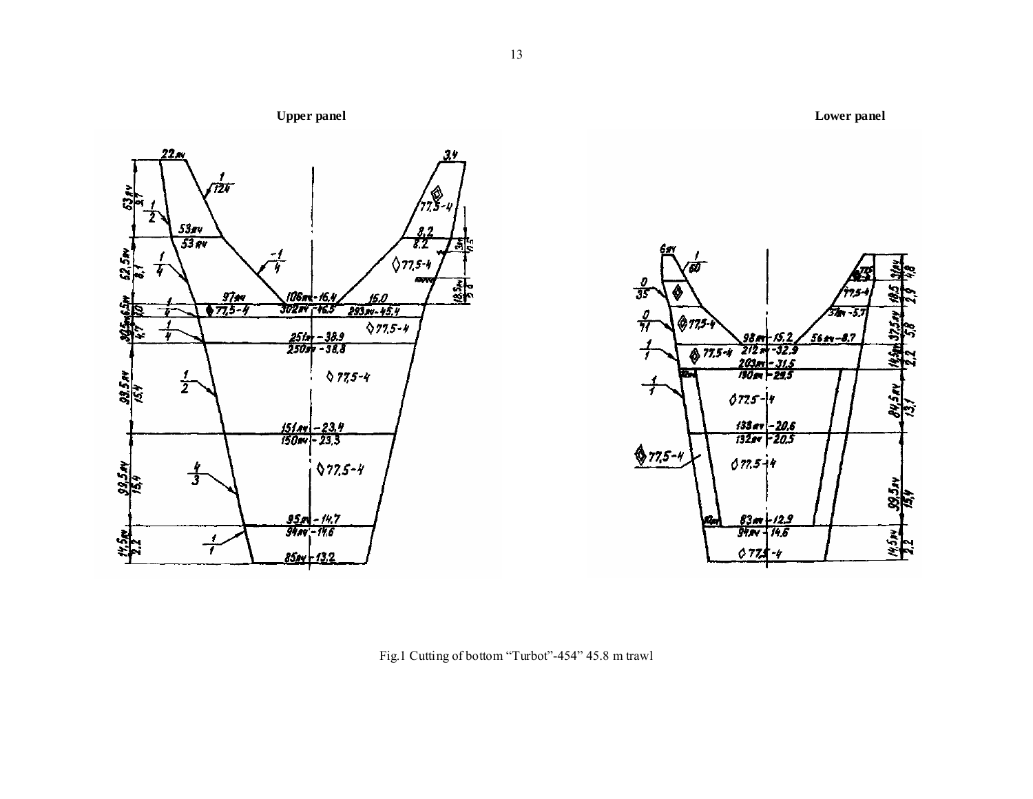

Fig.1 Cutting of bottom "Turbot"-454" 45.8 m trawl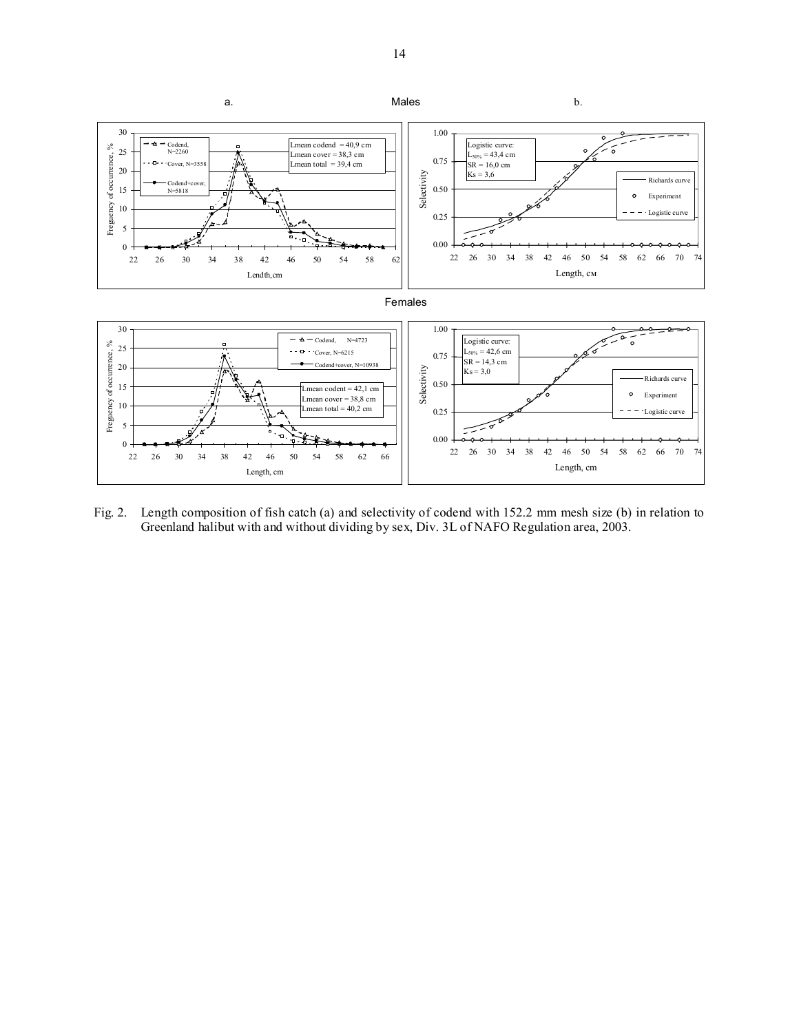

Fig. 2. Length composition of fish catch (a) and selectivity of codend with 152.2 mm mesh size (b) in relation to Greenland halibut with and without dividing by sex, Div. 3L of NAFO Regulation area, 2003.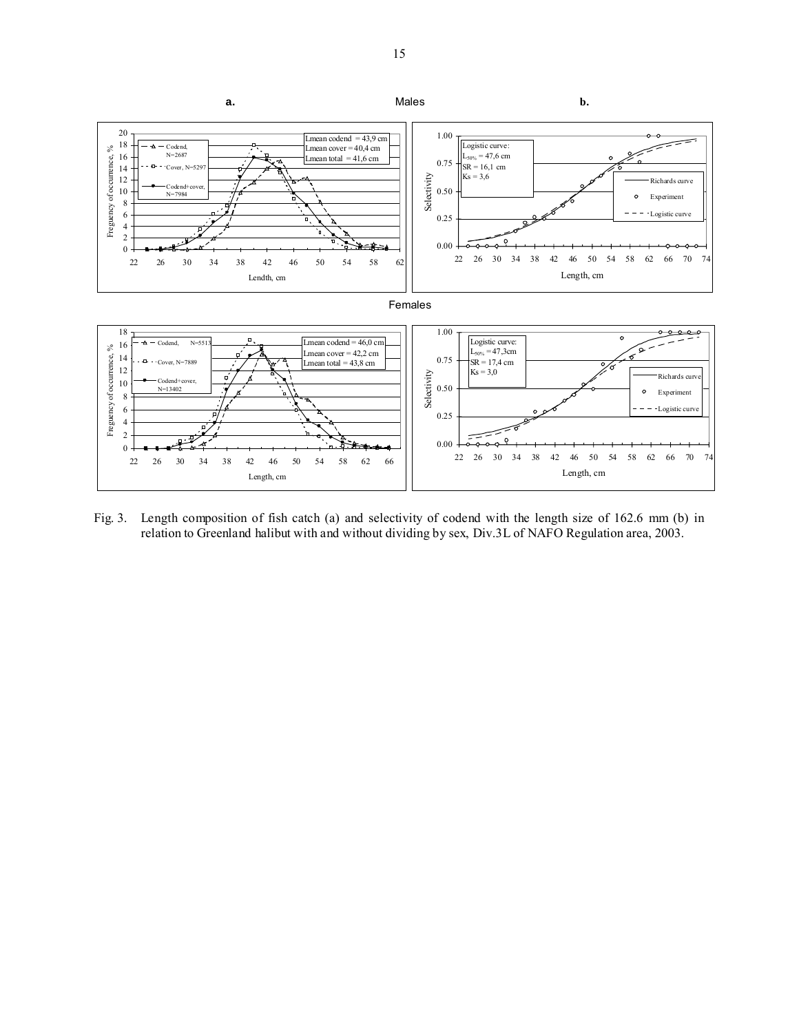

Fig. 3. Length composition of fish catch (a) and selectivity of codend with the length size of 162.6 mm (b) in relation to Greenland halibut with and without dividing by sex, Div.3L of NAFO Regulation area, 2003.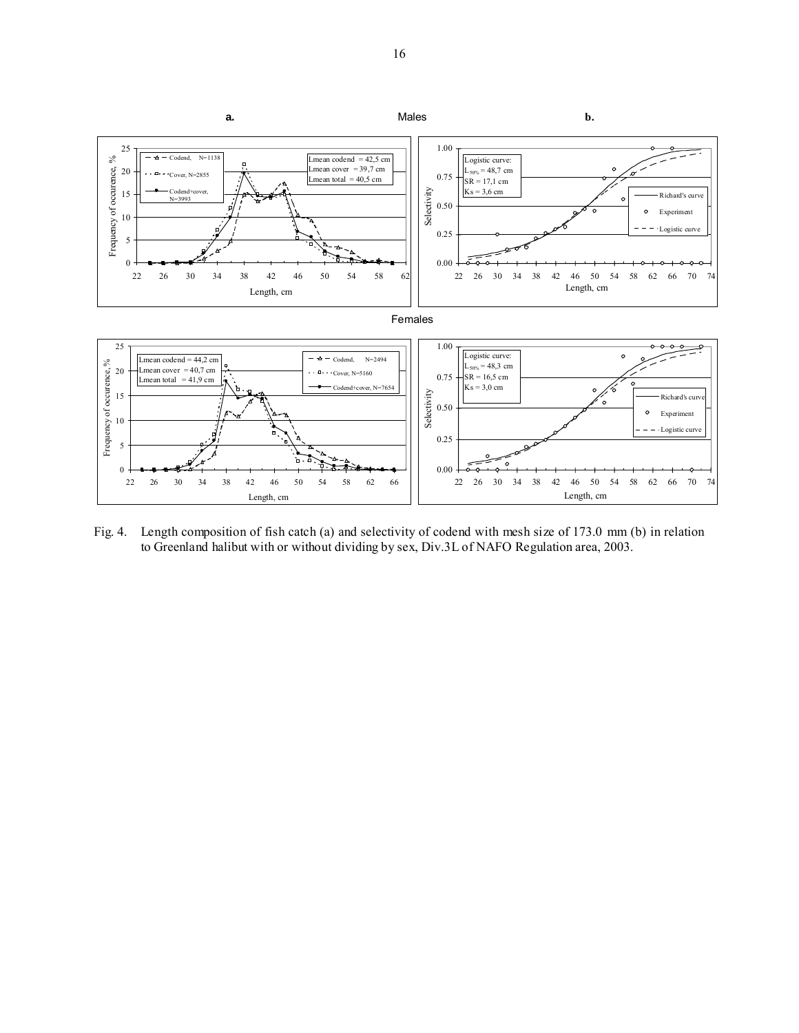

Fig. 4. Length composition of fish catch (a) and selectivity of codend with mesh size of 173.0 mm (b) in relation to Greenland halibut with or without dividing by sex, Div.3L of NAFO Regulation area, 2003.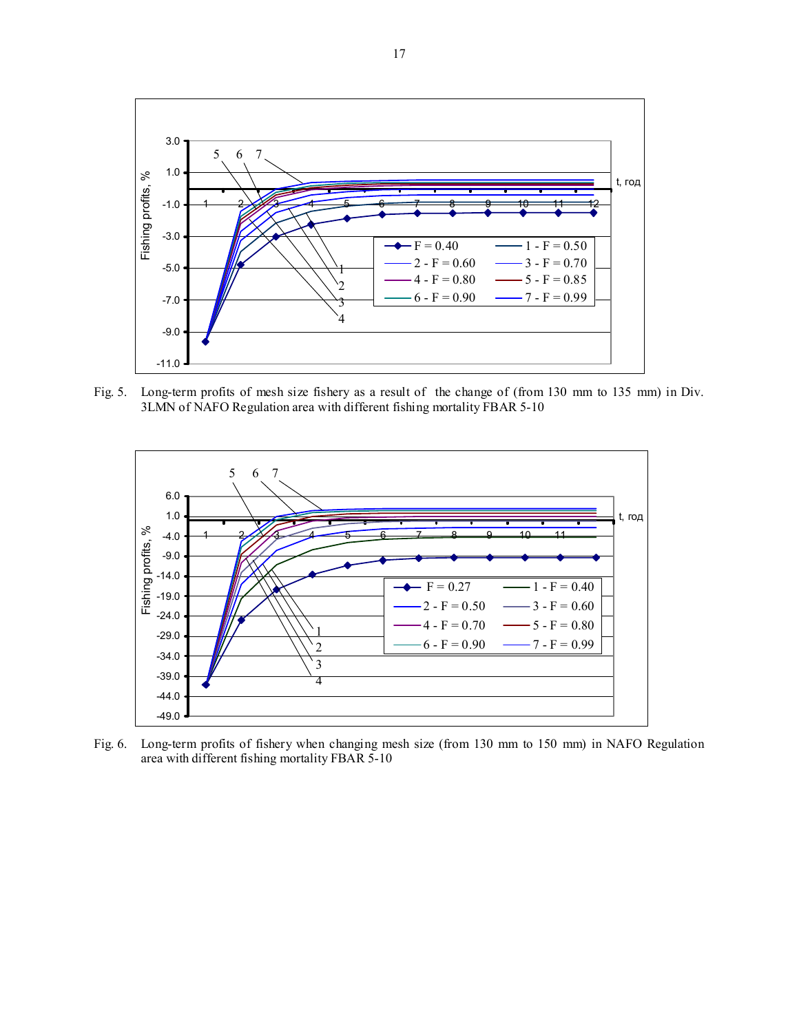![](_page_16_Figure_0.jpeg)

Fig. 5. Long-term profits of mesh size fishery as a result of the change of (from 130 mm to 135 mm) in Div. 3LMN of NAFO Regulation area with different fishing mortality FBAR 5-10

![](_page_16_Figure_2.jpeg)

Fig. 6. Long-term profits of fishery when changing mesh size (from 130 mm to 150 mm) in NAFO Regulation area with different fishing mortality FBAR 5-10